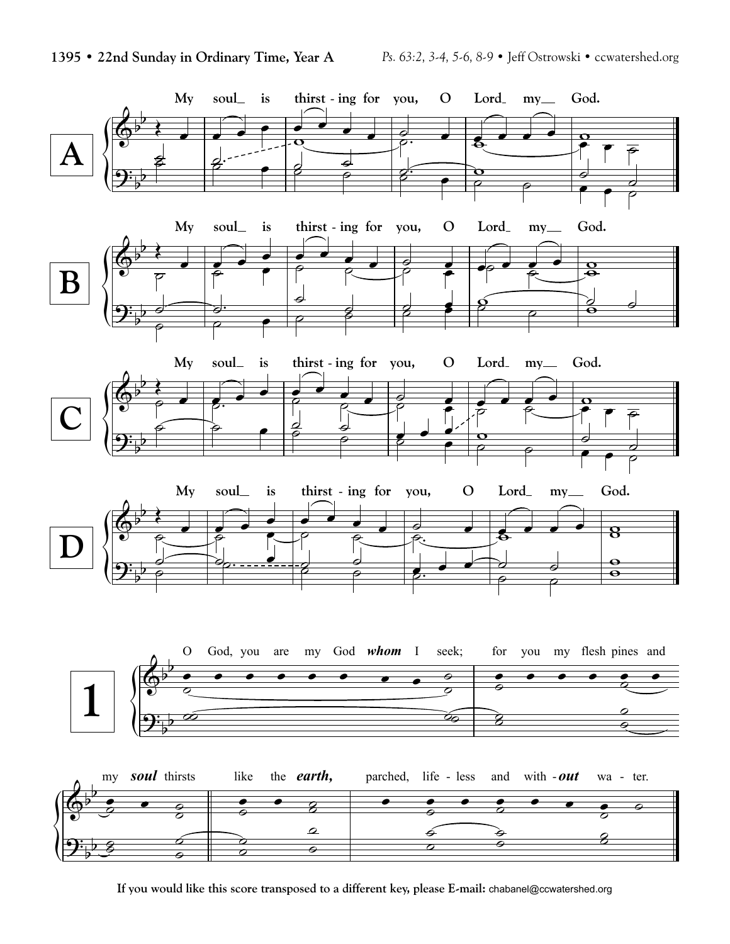

**If you would like this score transposed to a different key, please E-mail:** chabanel@ccwatershed.org